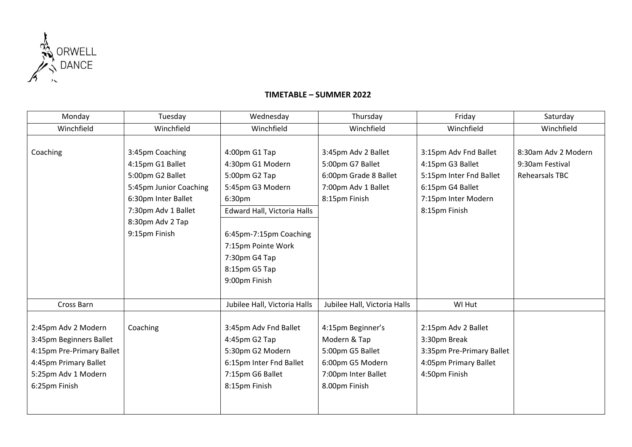

4:15pm Pre-Primary Ballet 4:45pm Primary Ballet 5:25pm Adv 1 Modern

6:25pm Finish

## Winchfield Winchfield Winchfield Winchfield Winchfield Winchfield Coaching 3:45pm Coaching 4:15pm G1 Ballet 5:00pm G2 Ballet 5:45pm Junior Coaching 6:30pm Inter Ballet 7:30pm Adv 1 Ballet 8:30pm Adv 2 Tap 9:15pm Finish 4:00pm G1 Tap 4:30pm G1 Modern 5:00pm G2 Tap 5:45pm G3 Modern 6:30pm 3:45pm Adv 2 Ballet 5:00pm G7 Ballet 6:00pm Grade 8 Ballet 7:00pm Adv 1 Ballet 8:15pm Finish 3:15pm Adv Fnd Ballet 4:15pm G3 Ballet 5:15pm Inter Fnd Ballet 6:15pm G4 Ballet 7:15pm Inter Modern 8:15pm Finish 8:30am Adv 2 Modern 9:30am Festival Rehearsals TBC Edward Hall, Victoria Halls 6:45pm-7:15pm Coaching 7:15pm Pointe Work 7:30pm G4 Tap 8:15pm G5 Tap 9:00pm Finish Cross Barn Jubilee Hall, Victoria Halls Jubilee Hall, Victoria Halls Jubilee Hall, Victoria Halls Jubilee Hall, Victoria Halls Jubilee Hall, Victoria Halls Jubilee Hall, Victoria Halls Jubilee Hall, Victoria Halls Jubilee 2:45pm Adv 2 Modern 3:45pm Beginners Ballet Coaching 3:45pm Adv Fnd Ballet 4:45pm G2 Tap 4:15pm Beginner's Modern & Tap 2:15pm Adv 2 Ballet 3:30pm Break

5:30pm G2 Modern 6:15pm Inter Fnd Ballet

7:15pm G6 Ballet 8:15pm Finish

## **TIMETABLE – SUMMER 2022**

Monday | Tuesday | Wednesday | Thursday | Friday | Saturday

5:00pm G5 Ballet 6:00pm G5 Modern 7:00pm Inter Ballet 8.00pm Finish

3:35pm Pre-Primary Ballet 4:05pm Primary Ballet

4:50pm Finish